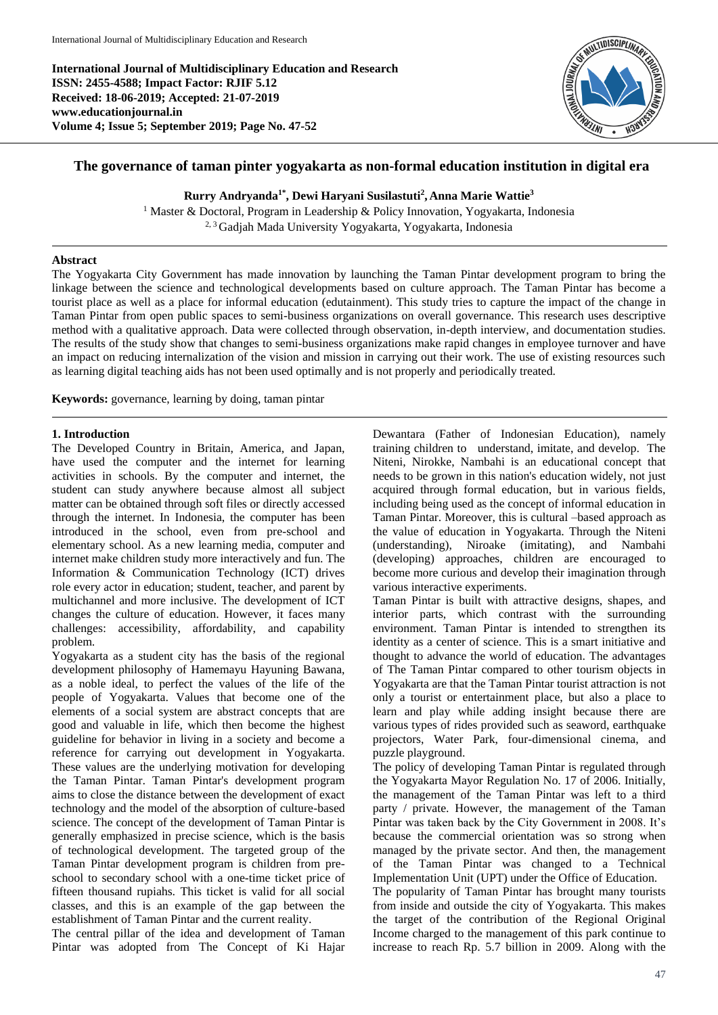**International Journal of Multidisciplinary Education and Research ISSN: 2455-4588; Impact Factor: RJIF 5.12 Received: 18-06-2019; Accepted: 21-07-2019 www.educationjournal.in Volume 4; Issue 5; September 2019; Page No. 47-52**



# **The governance of taman pinter yogyakarta as non-formal education institution in digital era**

**Rurry Andryanda1\*, Dewi Haryani Susilastuti<sup>2</sup> , Anna Marie Wattie<sup>3</sup>**

<sup>1</sup> Master & Doctoral, Program in Leadership & Policy Innovation, Yogyakarta, Indonesia 2, 3 Gadjah Mada University Yogyakarta, Yogyakarta, Indonesia

### **Abstract**

The Yogyakarta City Government has made innovation by launching the Taman Pintar development program to bring the linkage between the science and technological developments based on culture approach. The Taman Pintar has become a tourist place as well as a place for informal education (edutainment). This study tries to capture the impact of the change in Taman Pintar from open public spaces to semi-business organizations on overall governance. This research uses descriptive method with a qualitative approach. Data were collected through observation, in-depth interview, and documentation studies. The results of the study show that changes to semi-business organizations make rapid changes in employee turnover and have an impact on reducing internalization of the vision and mission in carrying out their work. The use of existing resources such as learning digital teaching aids has not been used optimally and is not properly and periodically treated.

**Keywords:** governance, learning by doing, taman pintar

### **1. Introduction**

The Developed Country in Britain, America, and Japan, have used the computer and the internet for learning activities in schools. By the computer and internet, the student can study anywhere because almost all subject matter can be obtained through soft files or directly accessed through the internet. In Indonesia, the computer has been introduced in the school, even from pre-school and elementary school. As a new learning media, computer and internet make children study more interactively and fun. The Information & Communication Technology (ICT) drives role every actor in education; student, teacher, and parent by multichannel and more inclusive. The development of ICT changes the culture of education. However, it faces many challenges: accessibility, affordability, and capability problem.

Yogyakarta as a student city has the basis of the regional development philosophy of Hamemayu Hayuning Bawana, as a noble ideal, to perfect the values of the life of the people of Yogyakarta. Values that become one of the elements of a social system are abstract concepts that are good and valuable in life, which then become the highest guideline for behavior in living in a society and become a reference for carrying out development in Yogyakarta. These values are the underlying motivation for developing the Taman Pintar. Taman Pintar's development program aims to close the distance between the development of exact technology and the model of the absorption of culture-based science. The concept of the development of Taman Pintar is generally emphasized in precise science, which is the basis of technological development. The targeted group of the Taman Pintar development program is children from preschool to secondary school with a one-time ticket price of fifteen thousand rupiahs. This ticket is valid for all social classes, and this is an example of the gap between the establishment of Taman Pintar and the current reality.

The central pillar of the idea and development of Taman Pintar was adopted from The Concept of Ki Hajar Dewantara (Father of Indonesian Education), namely training children to understand, imitate, and develop. The Niteni, Nirokke, Nambahi is an educational concept that needs to be grown in this nation's education widely, not just acquired through formal education, but in various fields, including being used as the concept of informal education in Taman Pintar. Moreover, this is cultural –based approach as the value of education in Yogyakarta. Through the Niteni (understanding), Niroake (imitating), and Nambahi (developing) approaches, children are encouraged to become more curious and develop their imagination through various interactive experiments.

Taman Pintar is built with attractive designs, shapes, and interior parts, which contrast with the surrounding environment. Taman Pintar is intended to strengthen its identity as a center of science. This is a smart initiative and thought to advance the world of education. The advantages of The Taman Pintar compared to other tourism objects in Yogyakarta are that the Taman Pintar tourist attraction is not only a tourist or entertainment place, but also a place to learn and play while adding insight because there are various types of rides provided such as seaword, earthquake projectors, Water Park, four-dimensional cinema, and puzzle playground.

The policy of developing Taman Pintar is regulated through the Yogyakarta Mayor Regulation No. 17 of 2006. Initially, the management of the Taman Pintar was left to a third party / private. However, the management of the Taman Pintar was taken back by the City Government in 2008. It's because the commercial orientation was so strong when managed by the private sector. And then, the management of the Taman Pintar was changed to a Technical Implementation Unit (UPT) under the Office of Education.

The popularity of Taman Pintar has brought many tourists from inside and outside the city of Yogyakarta. This makes the target of the contribution of the Regional Original Income charged to the management of this park continue to increase to reach Rp. 5.7 billion in 2009. Along with the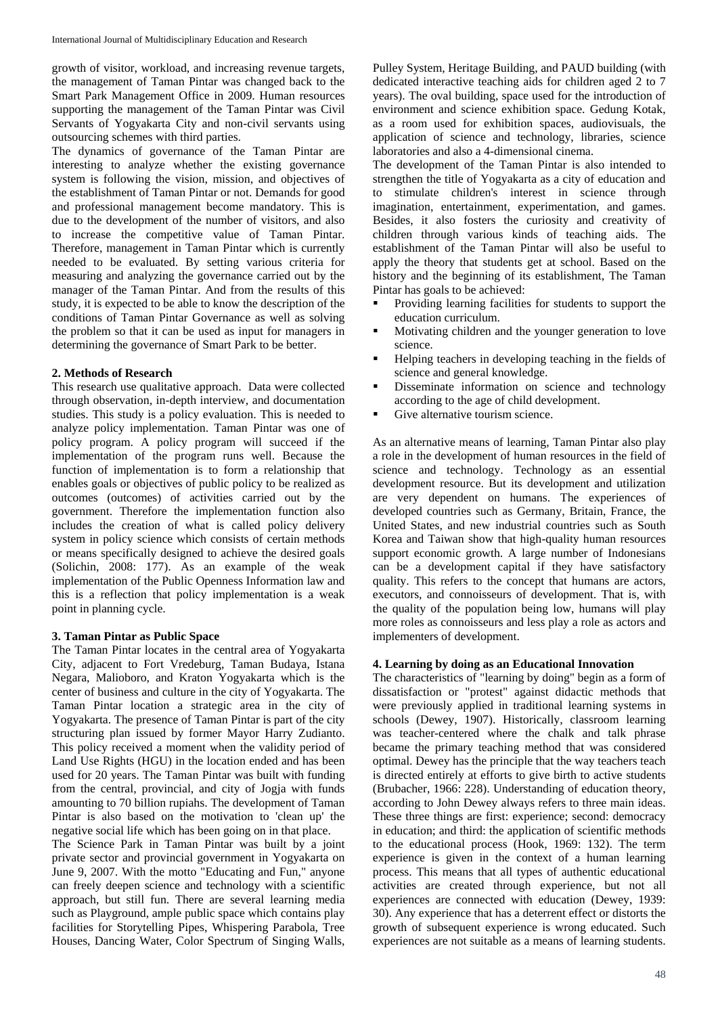growth of visitor, workload, and increasing revenue targets, the management of Taman Pintar was changed back to the Smart Park Management Office in 2009. Human resources supporting the management of the Taman Pintar was Civil Servants of Yogyakarta City and non-civil servants using outsourcing schemes with third parties.

The dynamics of governance of the Taman Pintar are interesting to analyze whether the existing governance system is following the vision, mission, and objectives of the establishment of Taman Pintar or not. Demands for good and professional management become mandatory. This is due to the development of the number of visitors, and also to increase the competitive value of Taman Pintar. Therefore, management in Taman Pintar which is currently needed to be evaluated. By setting various criteria for measuring and analyzing the governance carried out by the manager of the Taman Pintar. And from the results of this study, it is expected to be able to know the description of the conditions of Taman Pintar Governance as well as solving the problem so that it can be used as input for managers in determining the governance of Smart Park to be better.

### **2. Methods of Research**

This research use qualitative approach. Data were collected through observation, in-depth interview, and documentation studies. This study is a policy evaluation. This is needed to analyze policy implementation. Taman Pintar was one of policy program. A policy program will succeed if the implementation of the program runs well. Because the function of implementation is to form a relationship that enables goals or objectives of public policy to be realized as outcomes (outcomes) of activities carried out by the government. Therefore the implementation function also includes the creation of what is called policy delivery system in policy science which consists of certain methods or means specifically designed to achieve the desired goals (Solichin, 2008: 177). As an example of the weak implementation of the Public Openness Information law and this is a reflection that policy implementation is a weak point in planning cycle.

### **3. Taman Pintar as Public Space**

The Taman Pintar locates in the central area of Yogyakarta City, adjacent to Fort Vredeburg, Taman Budaya, Istana Negara, Malioboro, and Kraton Yogyakarta which is the center of business and culture in the city of Yogyakarta. The Taman Pintar location a strategic area in the city of Yogyakarta. The presence of Taman Pintar is part of the city structuring plan issued by former Mayor Harry Zudianto. This policy received a moment when the validity period of Land Use Rights (HGU) in the location ended and has been used for 20 years. The Taman Pintar was built with funding from the central, provincial, and city of Jogja with funds amounting to 70 billion rupiahs. The development of Taman Pintar is also based on the motivation to 'clean up' the negative social life which has been going on in that place.

The Science Park in Taman Pintar was built by a joint private sector and provincial government in Yogyakarta on June 9, 2007. With the motto "Educating and Fun," anyone can freely deepen science and technology with a scientific approach, but still fun. There are several learning media such as Playground, ample public space which contains play facilities for Storytelling Pipes, Whispering Parabola, Tree Houses, Dancing Water, Color Spectrum of Singing Walls,

Pulley System, Heritage Building, and PAUD building (with dedicated interactive teaching aids for children aged 2 to 7 years). The oval building, space used for the introduction of environment and science exhibition space. Gedung Kotak, as a room used for exhibition spaces, audiovisuals, the application of science and technology, libraries, science laboratories and also a 4-dimensional cinema.

The development of the Taman Pintar is also intended to strengthen the title of Yogyakarta as a city of education and to stimulate children's interest in science through imagination, entertainment, experimentation, and games. Besides, it also fosters the curiosity and creativity of children through various kinds of teaching aids. The establishment of the Taman Pintar will also be useful to apply the theory that students get at school. Based on the history and the beginning of its establishment, The Taman Pintar has goals to be achieved:

- Providing learning facilities for students to support the education curriculum.
- Motivating children and the younger generation to love science.
- Helping teachers in developing teaching in the fields of science and general knowledge.
- Disseminate information on science and technology according to the age of child development.
- Give alternative tourism science.

As an alternative means of learning, Taman Pintar also play a role in the development of human resources in the field of science and technology. Technology as an essential development resource. But its development and utilization are very dependent on humans. The experiences of developed countries such as Germany, Britain, France, the United States, and new industrial countries such as South Korea and Taiwan show that high-quality human resources support economic growth. A large number of Indonesians can be a development capital if they have satisfactory quality. This refers to the concept that humans are actors, executors, and connoisseurs of development. That is, with the quality of the population being low, humans will play more roles as connoisseurs and less play a role as actors and implementers of development.

### **4. Learning by doing as an Educational Innovation**

The characteristics of "learning by doing" begin as a form of dissatisfaction or "protest" against didactic methods that were previously applied in traditional learning systems in schools (Dewey, 1907). Historically, classroom learning was teacher-centered where the chalk and talk phrase became the primary teaching method that was considered optimal. Dewey has the principle that the way teachers teach is directed entirely at efforts to give birth to active students (Brubacher, 1966: 228). Understanding of education theory, according to John Dewey always refers to three main ideas. These three things are first: experience; second: democracy in education; and third: the application of scientific methods to the educational process (Hook, 1969: 132). The term experience is given in the context of a human learning process. This means that all types of authentic educational activities are created through experience, but not all experiences are connected with education (Dewey, 1939: 30). Any experience that has a deterrent effect or distorts the growth of subsequent experience is wrong educated. Such experiences are not suitable as a means of learning students.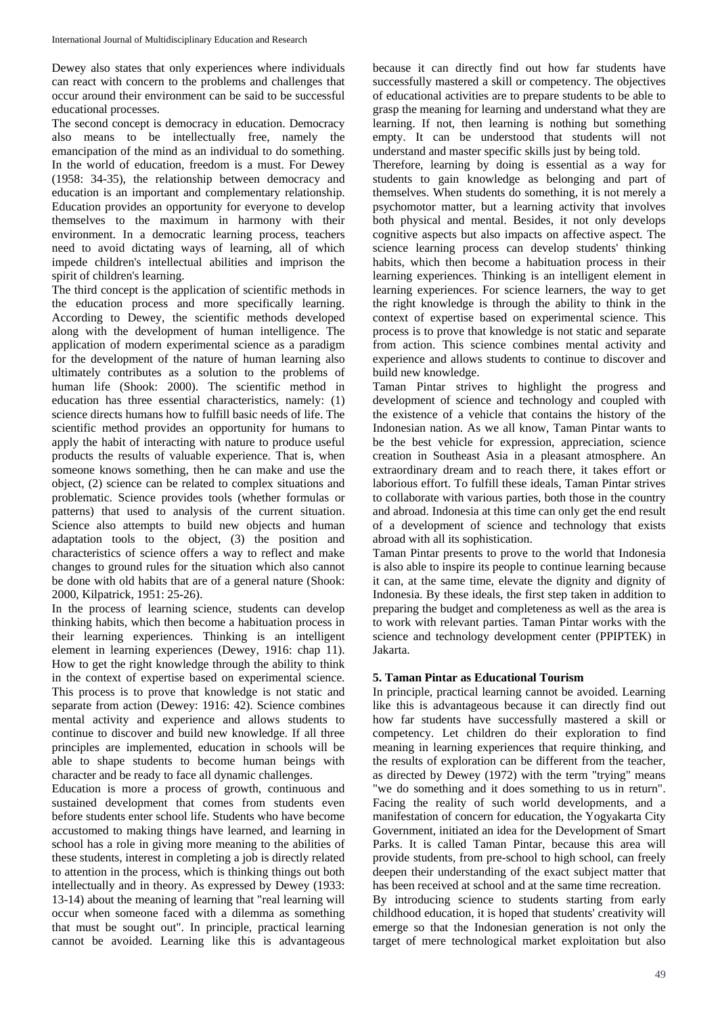Dewey also states that only experiences where individuals can react with concern to the problems and challenges that occur around their environment can be said to be successful educational processes.

The second concept is democracy in education. Democracy also means to be intellectually free, namely the emancipation of the mind as an individual to do something. In the world of education, freedom is a must. For Dewey (1958: 34-35), the relationship between democracy and education is an important and complementary relationship. Education provides an opportunity for everyone to develop themselves to the maximum in harmony with their environment. In a democratic learning process, teachers need to avoid dictating ways of learning, all of which impede children's intellectual abilities and imprison the spirit of children's learning.

The third concept is the application of scientific methods in the education process and more specifically learning. According to Dewey, the scientific methods developed along with the development of human intelligence. The application of modern experimental science as a paradigm for the development of the nature of human learning also ultimately contributes as a solution to the problems of human life (Shook: 2000). The scientific method in education has three essential characteristics, namely: (1) science directs humans how to fulfill basic needs of life. The scientific method provides an opportunity for humans to apply the habit of interacting with nature to produce useful products the results of valuable experience. That is, when someone knows something, then he can make and use the object, (2) science can be related to complex situations and problematic. Science provides tools (whether formulas or patterns) that used to analysis of the current situation. Science also attempts to build new objects and human adaptation tools to the object, (3) the position and characteristics of science offers a way to reflect and make changes to ground rules for the situation which also cannot be done with old habits that are of a general nature (Shook: 2000, Kilpatrick, 1951: 25-26).

In the process of learning science, students can develop thinking habits, which then become a habituation process in their learning experiences. Thinking is an intelligent element in learning experiences (Dewey, 1916: chap 11). How to get the right knowledge through the ability to think in the context of expertise based on experimental science. This process is to prove that knowledge is not static and separate from action (Dewey: 1916: 42). Science combines mental activity and experience and allows students to continue to discover and build new knowledge. If all three principles are implemented, education in schools will be able to shape students to become human beings with character and be ready to face all dynamic challenges.

Education is more a process of growth, continuous and sustained development that comes from students even before students enter school life. Students who have become accustomed to making things have learned, and learning in school has a role in giving more meaning to the abilities of these students, interest in completing a job is directly related to attention in the process, which is thinking things out both intellectually and in theory. As expressed by Dewey (1933: 13-14) about the meaning of learning that "real learning will occur when someone faced with a dilemma as something that must be sought out". In principle, practical learning cannot be avoided. Learning like this is advantageous

because it can directly find out how far students have successfully mastered a skill or competency. The objectives of educational activities are to prepare students to be able to grasp the meaning for learning and understand what they are learning. If not, then learning is nothing but something empty. It can be understood that students will not understand and master specific skills just by being told.

Therefore, learning by doing is essential as a way for students to gain knowledge as belonging and part of themselves. When students do something, it is not merely a psychomotor matter, but a learning activity that involves both physical and mental. Besides, it not only develops cognitive aspects but also impacts on affective aspect. The science learning process can develop students' thinking habits, which then become a habituation process in their learning experiences. Thinking is an intelligent element in learning experiences. For science learners, the way to get the right knowledge is through the ability to think in the context of expertise based on experimental science. This process is to prove that knowledge is not static and separate from action. This science combines mental activity and experience and allows students to continue to discover and build new knowledge.

Taman Pintar strives to highlight the progress and development of science and technology and coupled with the existence of a vehicle that contains the history of the Indonesian nation. As we all know, Taman Pintar wants to be the best vehicle for expression, appreciation, science creation in Southeast Asia in a pleasant atmosphere. An extraordinary dream and to reach there, it takes effort or laborious effort. To fulfill these ideals, Taman Pintar strives to collaborate with various parties, both those in the country and abroad. Indonesia at this time can only get the end result of a development of science and technology that exists abroad with all its sophistication.

Taman Pintar presents to prove to the world that Indonesia is also able to inspire its people to continue learning because it can, at the same time, elevate the dignity and dignity of Indonesia. By these ideals, the first step taken in addition to preparing the budget and completeness as well as the area is to work with relevant parties. Taman Pintar works with the science and technology development center (PPIPTEK) in Jakarta.

### **5. Taman Pintar as Educational Tourism**

In principle, practical learning cannot be avoided. Learning like this is advantageous because it can directly find out how far students have successfully mastered a skill or competency. Let children do their exploration to find meaning in learning experiences that require thinking, and the results of exploration can be different from the teacher, as directed by Dewey (1972) with the term "trying" means "we do something and it does something to us in return". Facing the reality of such world developments, and a manifestation of concern for education, the Yogyakarta City Government, initiated an idea for the Development of Smart Parks. It is called Taman Pintar, because this area will provide students, from pre-school to high school, can freely deepen their understanding of the exact subject matter that has been received at school and at the same time recreation. By introducing science to students starting from early childhood education, it is hoped that students' creativity will emerge so that the Indonesian generation is not only the target of mere technological market exploitation but also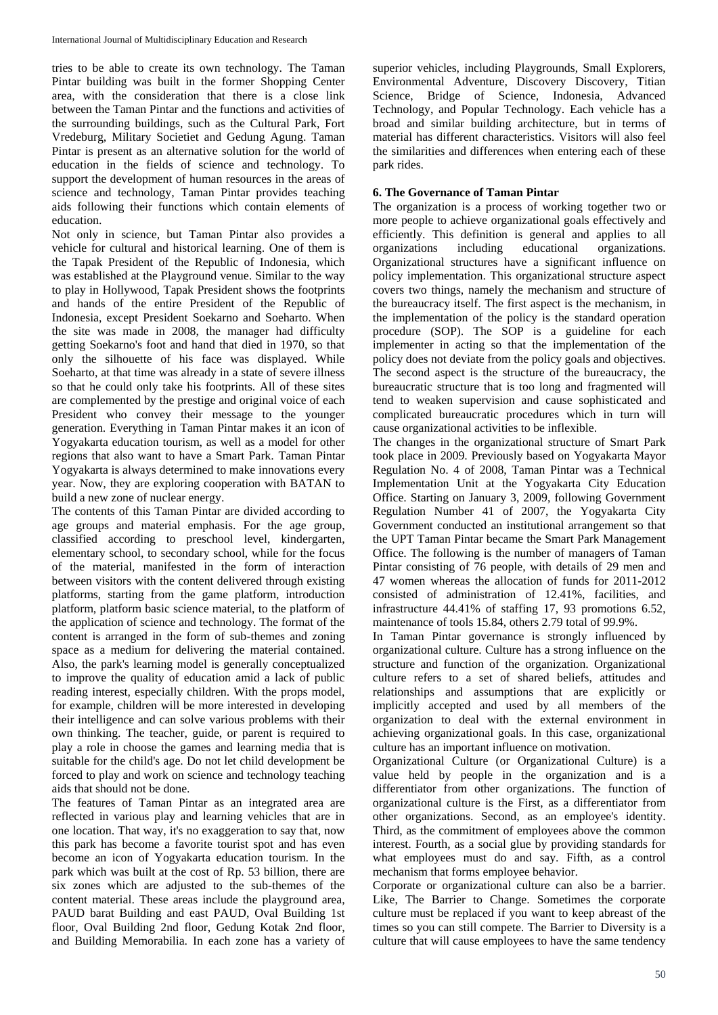tries to be able to create its own technology. The Taman Pintar building was built in the former Shopping Center area, with the consideration that there is a close link between the Taman Pintar and the functions and activities of the surrounding buildings, such as the Cultural Park, Fort Vredeburg, Military Societiet and Gedung Agung. Taman Pintar is present as an alternative solution for the world of education in the fields of science and technology. To support the development of human resources in the areas of science and technology, Taman Pintar provides teaching aids following their functions which contain elements of education.

Not only in science, but Taman Pintar also provides a vehicle for cultural and historical learning. One of them is the Tapak President of the Republic of Indonesia, which was established at the Playground venue. Similar to the way to play in Hollywood, Tapak President shows the footprints and hands of the entire President of the Republic of Indonesia, except President Soekarno and Soeharto. When the site was made in 2008, the manager had difficulty getting Soekarno's foot and hand that died in 1970, so that only the silhouette of his face was displayed. While Soeharto, at that time was already in a state of severe illness so that he could only take his footprints. All of these sites are complemented by the prestige and original voice of each President who convey their message to the younger generation. Everything in Taman Pintar makes it an icon of Yogyakarta education tourism, as well as a model for other regions that also want to have a Smart Park. Taman Pintar Yogyakarta is always determined to make innovations every year. Now, they are exploring cooperation with BATAN to build a new zone of nuclear energy.

The contents of this Taman Pintar are divided according to age groups and material emphasis. For the age group, classified according to preschool level, kindergarten, elementary school, to secondary school, while for the focus of the material, manifested in the form of interaction between visitors with the content delivered through existing platforms, starting from the game platform, introduction platform, platform basic science material, to the platform of the application of science and technology. The format of the content is arranged in the form of sub-themes and zoning space as a medium for delivering the material contained. Also, the park's learning model is generally conceptualized to improve the quality of education amid a lack of public reading interest, especially children. With the props model, for example, children will be more interested in developing their intelligence and can solve various problems with their own thinking. The teacher, guide, or parent is required to play a role in choose the games and learning media that is suitable for the child's age. Do not let child development be forced to play and work on science and technology teaching aids that should not be done.

The features of Taman Pintar as an integrated area are reflected in various play and learning vehicles that are in one location. That way, it's no exaggeration to say that, now this park has become a favorite tourist spot and has even become an icon of Yogyakarta education tourism. In the park which was built at the cost of Rp. 53 billion, there are six zones which are adjusted to the sub-themes of the content material. These areas include the playground area, PAUD barat Building and east PAUD, Oval Building 1st floor, Oval Building 2nd floor, Gedung Kotak 2nd floor, and Building Memorabilia. In each zone has a variety of superior vehicles, including Playgrounds, Small Explorers, Environmental Adventure, Discovery Discovery, Titian Science, Bridge of Science, Indonesia, Advanced Technology, and Popular Technology. Each vehicle has a broad and similar building architecture, but in terms of material has different characteristics. Visitors will also feel the similarities and differences when entering each of these park rides.

## **6. The Governance of Taman Pintar**

The organization is a process of working together two or more people to achieve organizational goals effectively and efficiently. This definition is general and applies to all organizations including educational organizations. Organizational structures have a significant influence on policy implementation. This organizational structure aspect covers two things, namely the mechanism and structure of the bureaucracy itself. The first aspect is the mechanism, in the implementation of the policy is the standard operation procedure (SOP). The SOP is a guideline for each implementer in acting so that the implementation of the policy does not deviate from the policy goals and objectives. The second aspect is the structure of the bureaucracy, the bureaucratic structure that is too long and fragmented will tend to weaken supervision and cause sophisticated and complicated bureaucratic procedures which in turn will cause organizational activities to be inflexible.

The changes in the organizational structure of Smart Park took place in 2009. Previously based on Yogyakarta Mayor Regulation No. 4 of 2008, Taman Pintar was a Technical Implementation Unit at the Yogyakarta City Education Office. Starting on January 3, 2009, following Government Regulation Number 41 of 2007, the Yogyakarta City Government conducted an institutional arrangement so that the UPT Taman Pintar became the Smart Park Management Office. The following is the number of managers of Taman Pintar consisting of 76 people, with details of 29 men and 47 women whereas the allocation of funds for 2011-2012 consisted of administration of 12.41%, facilities, and infrastructure 44.41% of staffing 17, 93 promotions 6.52, maintenance of tools 15.84, others 2.79 total of 99.9%.

In Taman Pintar governance is strongly influenced by organizational culture. Culture has a strong influence on the structure and function of the organization. Organizational culture refers to a set of shared beliefs, attitudes and relationships and assumptions that are explicitly or implicitly accepted and used by all members of the organization to deal with the external environment in achieving organizational goals. In this case, organizational culture has an important influence on motivation.

Organizational Culture (or Organizational Culture) is a value held by people in the organization and is a differentiator from other organizations. The function of organizational culture is the First, as a differentiator from other organizations. Second, as an employee's identity. Third, as the commitment of employees above the common interest. Fourth, as a social glue by providing standards for what employees must do and say. Fifth, as a control mechanism that forms employee behavior.

Corporate or organizational culture can also be a barrier. Like, The Barrier to Change. Sometimes the corporate culture must be replaced if you want to keep abreast of the times so you can still compete. The Barrier to Diversity is a culture that will cause employees to have the same tendency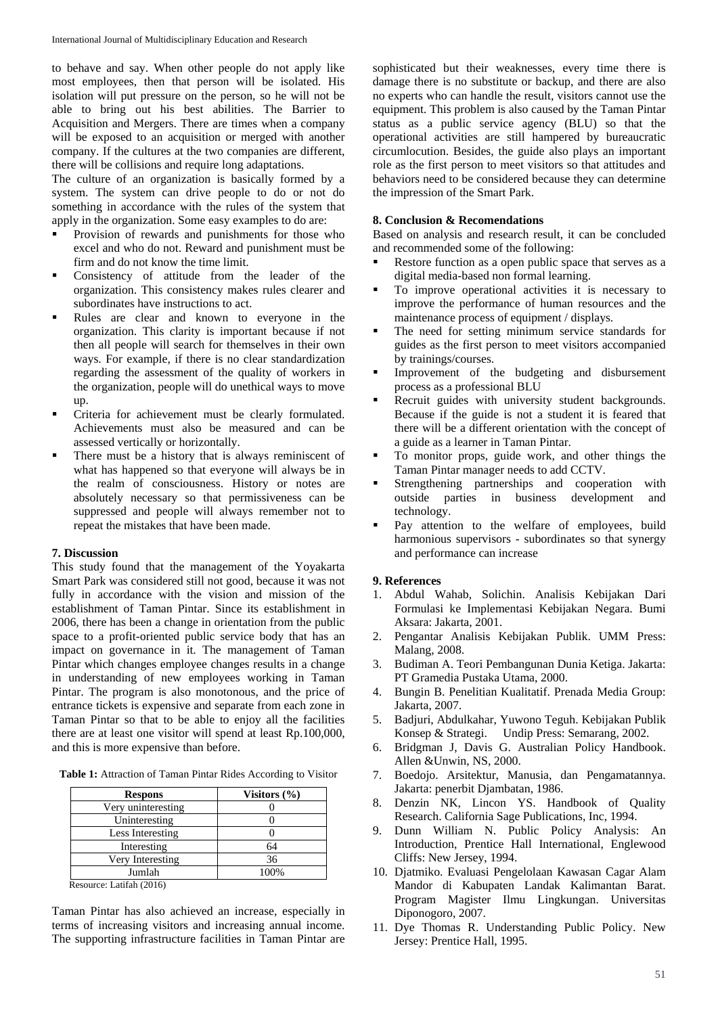to behave and say. When other people do not apply like most employees, then that person will be isolated. His isolation will put pressure on the person, so he will not be able to bring out his best abilities. The Barrier to Acquisition and Mergers. There are times when a company will be exposed to an acquisition or merged with another company. If the cultures at the two companies are different, there will be collisions and require long adaptations.

The culture of an organization is basically formed by a system. The system can drive people to do or not do something in accordance with the rules of the system that apply in the organization. Some easy examples to do are:

- Provision of rewards and punishments for those who excel and who do not. Reward and punishment must be firm and do not know the time limit.
- Consistency of attitude from the leader of the organization. This consistency makes rules clearer and subordinates have instructions to act.
- Rules are clear and known to everyone in the organization. This clarity is important because if not then all people will search for themselves in their own ways. For example, if there is no clear standardization regarding the assessment of the quality of workers in the organization, people will do unethical ways to move up.
- Criteria for achievement must be clearly formulated. Achievements must also be measured and can be assessed vertically or horizontally.
- **There must be a history that is always reminiscent of** what has happened so that everyone will always be in the realm of consciousness. History or notes are absolutely necessary so that permissiveness can be suppressed and people will always remember not to repeat the mistakes that have been made.

### **7. Discussion**

This study found that the management of the Yoyakarta Smart Park was considered still not good, because it was not fully in accordance with the vision and mission of the establishment of Taman Pintar. Since its establishment in 2006, there has been a change in orientation from the public space to a profit-oriented public service body that has an impact on governance in it. The management of Taman Pintar which changes employee changes results in a change in understanding of new employees working in Taman Pintar. The program is also monotonous, and the price of entrance tickets is expensive and separate from each zone in Taman Pintar so that to be able to enjoy all the facilities there are at least one visitor will spend at least Rp.100,000, and this is more expensive than before.

**Table 1:** Attraction of Taman Pintar Rides According to Visitor

| <b>Respons</b>                 | Visitors $(\% )$ |
|--------------------------------|------------------|
| Very uninteresting             |                  |
| Uninteresting                  |                  |
| Less Interesting               |                  |
| Interesting                    | 64               |
| Very Interesting               | 36               |
| Jumlah                         | 100%             |
| $D_{000}$ urgo: Lotifob (2016) |                  |

Resource: Latifah (2016)

Taman Pintar has also achieved an increase, especially in terms of increasing visitors and increasing annual income. The supporting infrastructure facilities in Taman Pintar are

sophisticated but their weaknesses, every time there is damage there is no substitute or backup, and there are also no experts who can handle the result, visitors cannot use the equipment. This problem is also caused by the Taman Pintar status as a public service agency (BLU) so that the operational activities are still hampered by bureaucratic circumlocution. Besides, the guide also plays an important role as the first person to meet visitors so that attitudes and behaviors need to be considered because they can determine the impression of the Smart Park.

### **8. Conclusion & Recomendations**

Based on analysis and research result, it can be concluded and recommended some of the following:

- Restore function as a open public space that serves as a digital media-based non formal learning.
- To improve operational activities it is necessary to improve the performance of human resources and the maintenance process of equipment / displays.
- The need for setting minimum service standards for guides as the first person to meet visitors accompanied by trainings/courses.
- Improvement of the budgeting and disbursement process as a professional BLU
- Recruit guides with university student backgrounds. Because if the guide is not a student it is feared that there will be a different orientation with the concept of a guide as a learner in Taman Pintar.
- To monitor props, guide work, and other things the Taman Pintar manager needs to add CCTV.
- Strengthening partnerships and cooperation with outside parties in business development and technology.
- Pay attention to the welfare of employees, build harmonious supervisors - subordinates so that synergy and performance can increase

#### **9. References**

- 1. Abdul Wahab, Solichin. Analisis Kebijakan Dari Formulasi ke Implementasi Kebijakan Negara. Bumi Aksara: Jakarta, 2001.
- 2. Pengantar Analisis Kebijakan Publik. UMM Press: Malang, 2008.
- 3. Budiman A. Teori Pembangunan Dunia Ketiga. Jakarta: PT Gramedia Pustaka Utama, 2000.
- 4. Bungin B. Penelitian Kualitatif. Prenada Media Group: Jakarta, 2007.
- 5. Badjuri, Abdulkahar, Yuwono Teguh. Kebijakan Publik Konsep & Strategi. Undip Press: Semarang, 2002.
- 6. Bridgman J, Davis G. Australian Policy Handbook. Allen &Unwin, NS, 2000.
- 7. Boedojo. Arsitektur, Manusia, dan Pengamatannya. Jakarta: penerbit Djambatan, 1986.
- 8. Denzin NK, Lincon YS. Handbook of Quality Research. California Sage Publications, Inc, 1994.
- 9. Dunn William N. Public Policy Analysis: An Introduction, Prentice Hall International, Englewood Cliffs: New Jersey, 1994.
- 10. Djatmiko. Evaluasi Pengelolaan Kawasan Cagar Alam Mandor di Kabupaten Landak Kalimantan Barat. Program Magister Ilmu Lingkungan. Universitas Diponogoro, 2007.
- 11. Dye Thomas R. Understanding Public Policy. New Jersey: Prentice Hall, 1995.